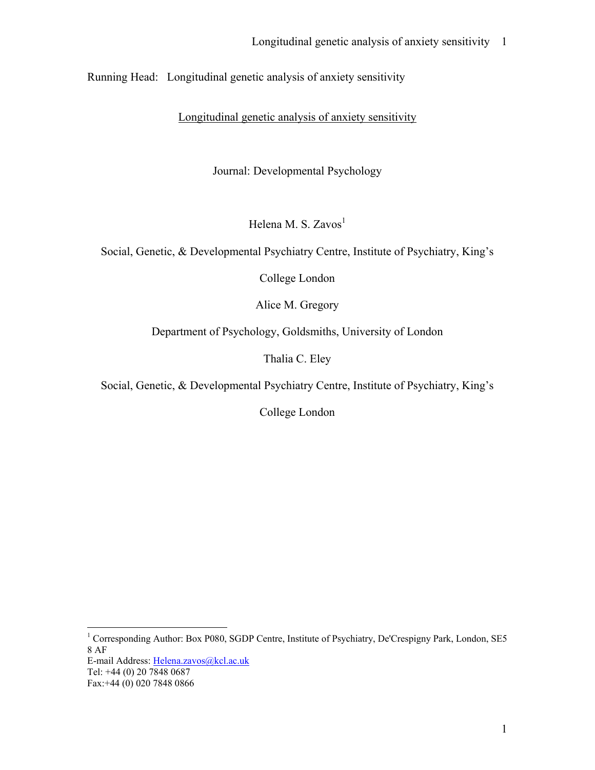Running Head: Longitudinal genetic analysis of anxiety sensitivity

Longitudinal genetic analysis of anxiety sensitivity

Journal: Developmental Psychology

Helena M. S. Zavos<sup>1</sup>

Social, Genetic, & Developmental Psychiatry Centre, Institute of Psychiatry, King's

College London

Alice M. Gregory

Department of Psychology, Goldsmiths, University of London

Thalia C. Eley

Social, Genetic, & Developmental Psychiatry Centre, Institute of Psychiatry, King's

College London

 1 Corresponding Author: Box P080, SGDP Centre, Institute of Psychiatry, De'Crespigny Park, London, SE5 8 AF

E-mail Address: Helena.zavos@kcl.ac.uk

Tel: +44 (0) 20 7848 0687

Fax:+44 (0) 020 7848 0866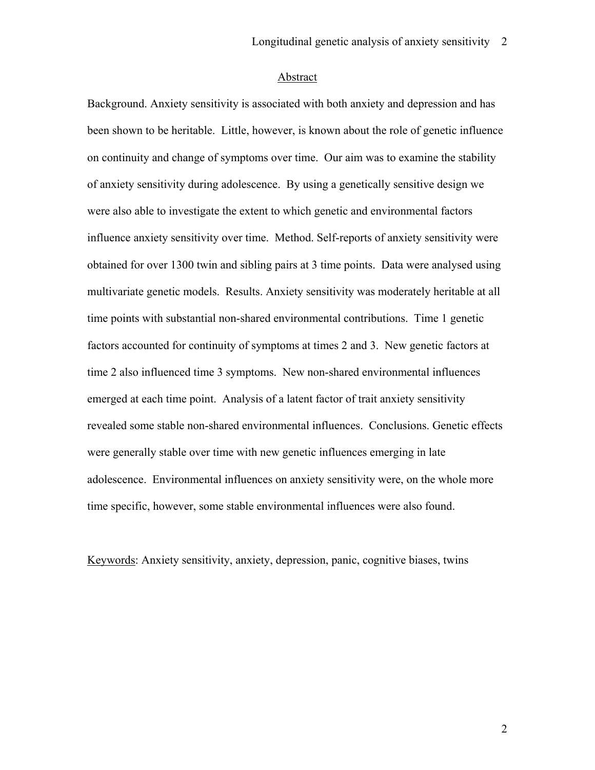## Abstract

Background. Anxiety sensitivity is associated with both anxiety and depression and has been shown to be heritable. Little, however, is known about the role of genetic influence on continuity and change of symptoms over time. Our aim was to examine the stability of anxiety sensitivity during adolescence. By using a genetically sensitive design we were also able to investigate the extent to which genetic and environmental factors influence anxiety sensitivity over time. Method. Self-reports of anxiety sensitivity were obtained for over 1300 twin and sibling pairs at 3 time points. Data were analysed using multivariate genetic models. Results. Anxiety sensitivity was moderately heritable at all time points with substantial non-shared environmental contributions. Time 1 genetic factors accounted for continuity of symptoms at times 2 and 3. New genetic factors at time 2 also influenced time 3 symptoms. New non-shared environmental influences emerged at each time point. Analysis of a latent factor of trait anxiety sensitivity revealed some stable non-shared environmental influences. Conclusions. Genetic effects were generally stable over time with new genetic influences emerging in late adolescence. Environmental influences on anxiety sensitivity were, on the whole more time specific, however, some stable environmental influences were also found.

Keywords: Anxiety sensitivity, anxiety, depression, panic, cognitive biases, twins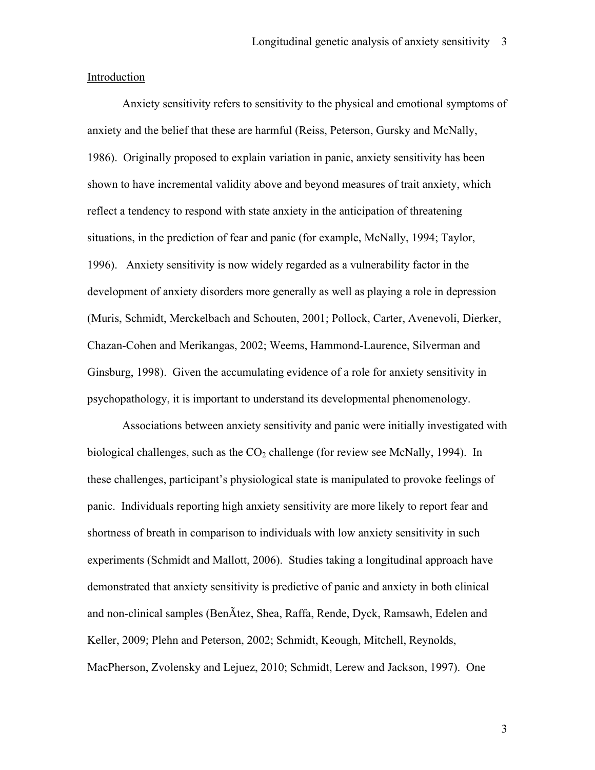#### Introduction

Anxiety sensitivity refers to sensitivity to the physical and emotional symptoms of anxiety and the belief that these are harmful (Reiss, Peterson, Gursky and McNally, 1986). Originally proposed to explain variation in panic, anxiety sensitivity has been shown to have incremental validity above and beyond measures of trait anxiety, which reflect a tendency to respond with state anxiety in the anticipation of threatening situations, in the prediction of fear and panic (for example, McNally, 1994; Taylor, 1996). Anxiety sensitivity is now widely regarded as a vulnerability factor in the development of anxiety disorders more generally as well as playing a role in depression (Muris, Schmidt, Merckelbach and Schouten, 2001; Pollock, Carter, Avenevoli, Dierker, Chazan-Cohen and Merikangas, 2002; Weems, Hammond-Laurence, Silverman and Ginsburg, 1998). Given the accumulating evidence of a role for anxiety sensitivity in psychopathology, it is important to understand its developmental phenomenology.

Associations between anxiety sensitivity and panic were initially investigated with biological challenges, such as the  $CO<sub>2</sub>$  challenge (for review see McNally, 1994). In these challenges, participant's physiological state is manipulated to provoke feelings of panic. Individuals reporting high anxiety sensitivity are more likely to report fear and shortness of breath in comparison to individuals with low anxiety sensitivity in such experiments (Schmidt and Mallott, 2006). Studies taking a longitudinal approach have demonstrated that anxiety sensitivity is predictive of panic and anxiety in both clinical and non-clinical samples (BenÃtez, Shea, Raffa, Rende, Dyck, Ramsawh, Edelen and Keller, 2009; Plehn and Peterson, 2002; Schmidt, Keough, Mitchell, Reynolds, MacPherson, Zvolensky and Lejuez, 2010; Schmidt, Lerew and Jackson, 1997). One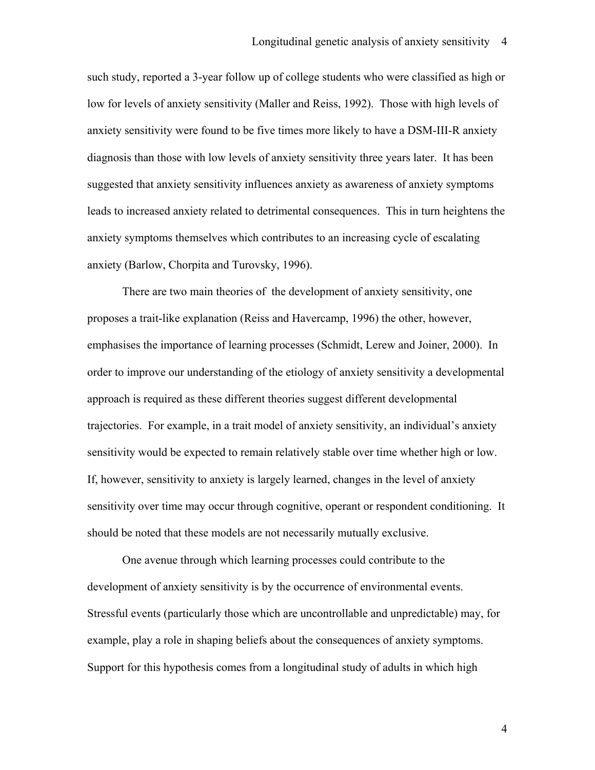such study, reported a 3-year follow up of college students who were classified as high or low for levels of anxiety sensitivity (Maller and Reiss, 1992). Those with high levels of anxiety sensitivity were found to be five times more likely to have a DSM-III-R anxiety diagnosis than those with low levels of anxiety sensitivity three years later. It has been suggested that anxiety sensitivity influences anxiety as awareness of anxiety symptoms leads to increased anxiety related to detrimental consequences. This in turn heightens the anxiety symptoms themselves which contributes to an increasing cycle of escalating anxiety (Barlow, Chorpita and Turovsky, 1996).

There are two main theories of the development of anxiety sensitivity, one proposes a trait-like explanation (Reiss and Havercamp, 1996) the other, however, emphasises the importance of learning processes (Schmidt, Lerew and Joiner, 2000). In order to improve our understanding of the etiology of anxiety sensitivity a developmental approach is required as these different theories suggest different developmental trajectories. For example, in a trait model of anxiety sensitivity, an individual's anxiety sensitivity would be expected to remain relatively stable over time whether high or low. If, however, sensitivity to anxiety is largely learned, changes in the level of anxiety sensitivity over time may occur through cognitive, operant or respondent conditioning. It should be noted that these models are not necessarily mutually exclusive.

One avenue through which learning processes could contribute to the development of anxiety sensitivity is by the occurrence of environmental events. Stressful events (particularly those which are uncontrollable and unpredictable) may, for example, play a role in shaping beliefs about the consequences of anxiety symptoms. Support for this hypothesis comes from a longitudinal study of adults in which high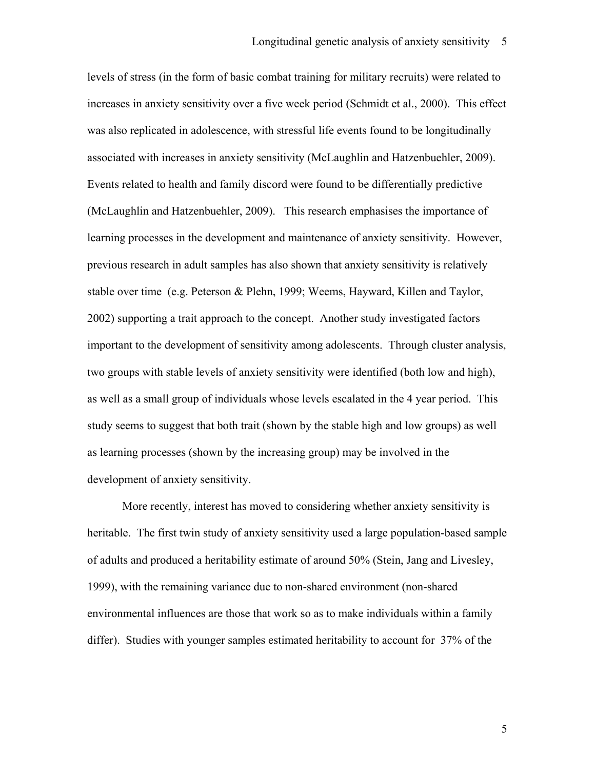levels of stress (in the form of basic combat training for military recruits) were related to increases in anxiety sensitivity over a five week period (Schmidt et al., 2000). This effect was also replicated in adolescence, with stressful life events found to be longitudinally associated with increases in anxiety sensitivity (McLaughlin and Hatzenbuehler, 2009). Events related to health and family discord were found to be differentially predictive (McLaughlin and Hatzenbuehler, 2009). This research emphasises the importance of learning processes in the development and maintenance of anxiety sensitivity. However, previous research in adult samples has also shown that anxiety sensitivity is relatively stable over time (e.g. Peterson & Plehn, 1999; Weems, Hayward, Killen and Taylor, 2002) supporting a trait approach to the concept. Another study investigated factors important to the development of sensitivity among adolescents. Through cluster analysis, two groups with stable levels of anxiety sensitivity were identified (both low and high), as well as a small group of individuals whose levels escalated in the 4 year period. This study seems to suggest that both trait (shown by the stable high and low groups) as well as learning processes (shown by the increasing group) may be involved in the development of anxiety sensitivity.

More recently, interest has moved to considering whether anxiety sensitivity is heritable. The first twin study of anxiety sensitivity used a large population-based sample of adults and produced a heritability estimate of around 50% (Stein, Jang and Livesley, 1999), with the remaining variance due to non-shared environment (non-shared environmental influences are those that work so as to make individuals within a family differ). Studies with younger samples estimated heritability to account for 37% of the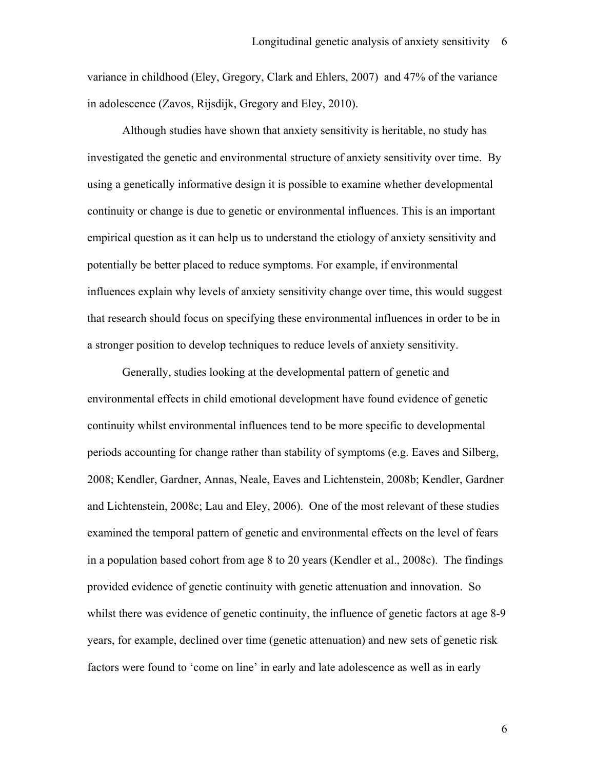variance in childhood (Eley, Gregory, Clark and Ehlers, 2007) and 47% of the variance in adolescence (Zavos, Rijsdijk, Gregory and Eley, 2010).

Although studies have shown that anxiety sensitivity is heritable, no study has investigated the genetic and environmental structure of anxiety sensitivity over time. By using a genetically informative design it is possible to examine whether developmental continuity or change is due to genetic or environmental influences. This is an important empirical question as it can help us to understand the etiology of anxiety sensitivity and potentially be better placed to reduce symptoms. For example, if environmental influences explain why levels of anxiety sensitivity change over time, this would suggest that research should focus on specifying these environmental influences in order to be in a stronger position to develop techniques to reduce levels of anxiety sensitivity.

Generally, studies looking at the developmental pattern of genetic and environmental effects in child emotional development have found evidence of genetic continuity whilst environmental influences tend to be more specific to developmental periods accounting for change rather than stability of symptoms (e.g. Eaves and Silberg, 2008; Kendler, Gardner, Annas, Neale, Eaves and Lichtenstein, 2008b; Kendler, Gardner and Lichtenstein, 2008c; Lau and Eley, 2006). One of the most relevant of these studies examined the temporal pattern of genetic and environmental effects on the level of fears in a population based cohort from age 8 to 20 years (Kendler et al., 2008c). The findings provided evidence of genetic continuity with genetic attenuation and innovation. So whilst there was evidence of genetic continuity, the influence of genetic factors at age 8-9 years, for example, declined over time (genetic attenuation) and new sets of genetic risk factors were found to 'come on line' in early and late adolescence as well as in early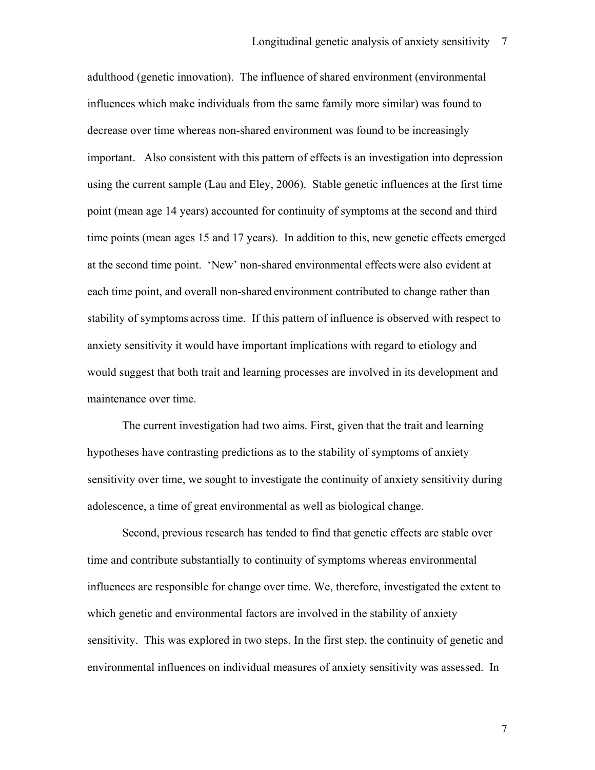adulthood (genetic innovation). The influence of shared environment (environmental influences which make individuals from the same family more similar) was found to decrease over time whereas non-shared environment was found to be increasingly important. Also consistent with this pattern of effects is an investigation into depression using the current sample (Lau and Eley, 2006). Stable genetic influences at the first time point (mean age 14 years) accounted for continuity of symptoms at the second and third time points (mean ages 15 and 17 years). In addition to this, new genetic effects emerged at the second time point. 'New' non-shared environmental effects were also evident at each time point, and overall non-shared environment contributed to change rather than stability of symptoms across time. If this pattern of influence is observed with respect to anxiety sensitivity it would have important implications with regard to etiology and would suggest that both trait and learning processes are involved in its development and maintenance over time.

 The current investigation had two aims. First, given that the trait and learning hypotheses have contrasting predictions as to the stability of symptoms of anxiety sensitivity over time, we sought to investigate the continuity of anxiety sensitivity during adolescence, a time of great environmental as well as biological change.

 Second, previous research has tended to find that genetic effects are stable over time and contribute substantially to continuity of symptoms whereas environmental influences are responsible for change over time. We, therefore, investigated the extent to which genetic and environmental factors are involved in the stability of anxiety sensitivity. This was explored in two steps. In the first step, the continuity of genetic and environmental influences on individual measures of anxiety sensitivity was assessed. In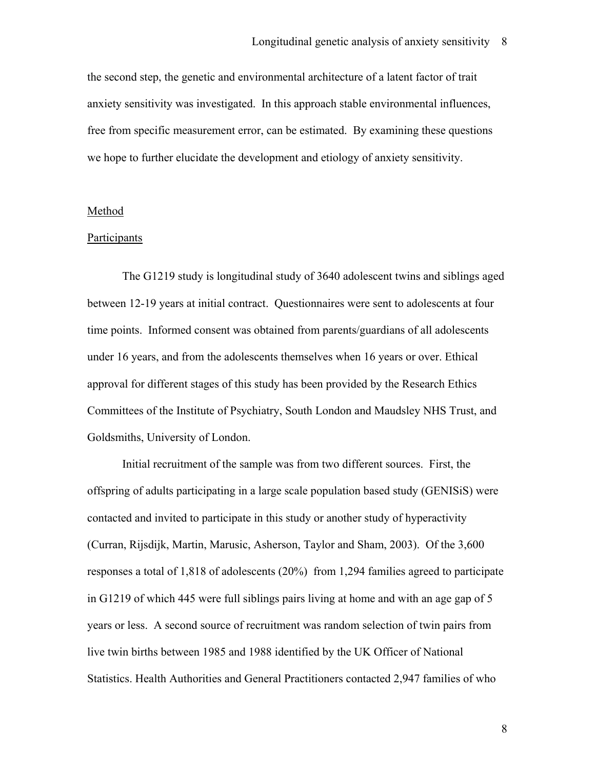the second step, the genetic and environmental architecture of a latent factor of trait anxiety sensitivity was investigated. In this approach stable environmental influences, free from specific measurement error, can be estimated. By examining these questions we hope to further elucidate the development and etiology of anxiety sensitivity.

#### Method

#### Participants

The G1219 study is longitudinal study of 3640 adolescent twins and siblings aged between 12-19 years at initial contract. Questionnaires were sent to adolescents at four time points. Informed consent was obtained from parents/guardians of all adolescents under 16 years, and from the adolescents themselves when 16 years or over. Ethical approval for different stages of this study has been provided by the Research Ethics Committees of the Institute of Psychiatry, South London and Maudsley NHS Trust, and Goldsmiths, University of London.

Initial recruitment of the sample was from two different sources. First, the offspring of adults participating in a large scale population based study (GENISiS) were contacted and invited to participate in this study or another study of hyperactivity (Curran, Rijsdijk, Martin, Marusic, Asherson, Taylor and Sham, 2003). Of the 3,600 responses a total of 1,818 of adolescents (20%) from 1,294 families agreed to participate in G1219 of which 445 were full siblings pairs living at home and with an age gap of 5 years or less. A second source of recruitment was random selection of twin pairs from live twin births between 1985 and 1988 identified by the UK Officer of National Statistics. Health Authorities and General Practitioners contacted 2,947 families of who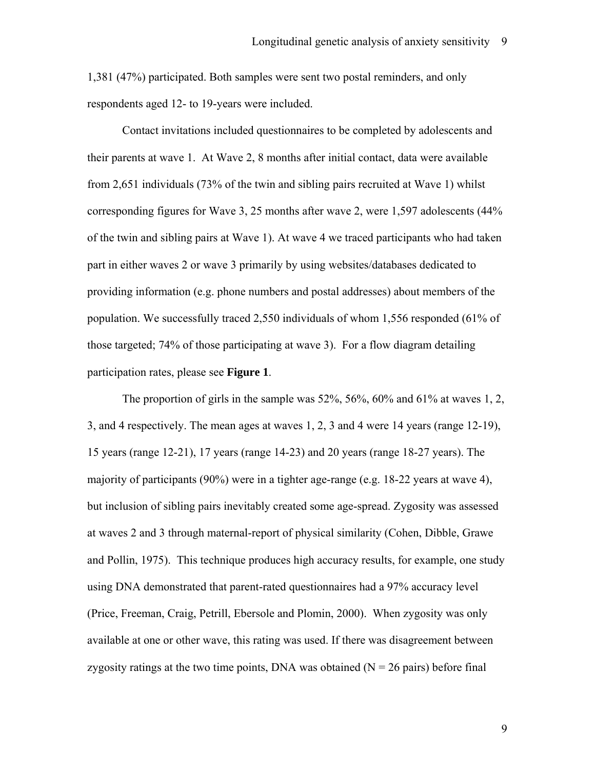1,381 (47%) participated. Both samples were sent two postal reminders, and only respondents aged 12- to 19-years were included.

Contact invitations included questionnaires to be completed by adolescents and their parents at wave 1. At Wave 2, 8 months after initial contact, data were available from 2,651 individuals (73% of the twin and sibling pairs recruited at Wave 1) whilst corresponding figures for Wave 3, 25 months after wave 2, were 1,597 adolescents (44% of the twin and sibling pairs at Wave 1). At wave 4 we traced participants who had taken part in either waves 2 or wave 3 primarily by using websites/databases dedicated to providing information (e.g. phone numbers and postal addresses) about members of the population. We successfully traced 2,550 individuals of whom 1,556 responded (61% of those targeted; 74% of those participating at wave 3). For a flow diagram detailing participation rates, please see **Figure 1**.

The proportion of girls in the sample was 52%, 56%, 60% and 61% at waves 1, 2, 3, and 4 respectively. The mean ages at waves 1, 2, 3 and 4 were 14 years (range 12-19), 15 years (range 12-21), 17 years (range 14-23) and 20 years (range 18-27 years). The majority of participants (90%) were in a tighter age-range (e.g. 18-22 years at wave 4), but inclusion of sibling pairs inevitably created some age-spread. Zygosity was assessed at waves 2 and 3 through maternal-report of physical similarity (Cohen, Dibble, Grawe and Pollin, 1975). This technique produces high accuracy results, for example, one study using DNA demonstrated that parent-rated questionnaires had a 97% accuracy level (Price, Freeman, Craig, Petrill, Ebersole and Plomin, 2000). When zygosity was only available at one or other wave, this rating was used. If there was disagreement between zygosity ratings at the two time points, DNA was obtained  $(N = 26$  pairs) before final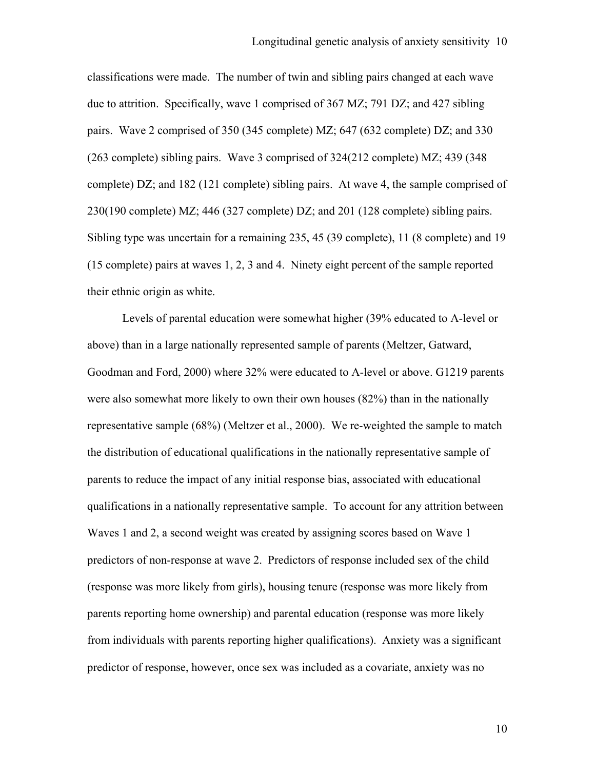classifications were made. The number of twin and sibling pairs changed at each wave due to attrition. Specifically, wave 1 comprised of 367 MZ; 791 DZ; and 427 sibling pairs. Wave 2 comprised of 350 (345 complete) MZ; 647 (632 complete) DZ; and 330 (263 complete) sibling pairs. Wave 3 comprised of 324(212 complete) MZ; 439 (348 complete) DZ; and 182 (121 complete) sibling pairs. At wave 4, the sample comprised of 230(190 complete) MZ; 446 (327 complete) DZ; and 201 (128 complete) sibling pairs. Sibling type was uncertain for a remaining 235, 45 (39 complete), 11 (8 complete) and 19 (15 complete) pairs at waves 1, 2, 3 and 4. Ninety eight percent of the sample reported their ethnic origin as white.

Levels of parental education were somewhat higher (39% educated to A-level or above) than in a large nationally represented sample of parents (Meltzer, Gatward, Goodman and Ford, 2000) where 32% were educated to A-level or above. G1219 parents were also somewhat more likely to own their own houses (82%) than in the nationally representative sample (68%) (Meltzer et al., 2000). We re-weighted the sample to match the distribution of educational qualifications in the nationally representative sample of parents to reduce the impact of any initial response bias, associated with educational qualifications in a nationally representative sample. To account for any attrition between Waves 1 and 2, a second weight was created by assigning scores based on Wave 1 predictors of non-response at wave 2. Predictors of response included sex of the child (response was more likely from girls), housing tenure (response was more likely from parents reporting home ownership) and parental education (response was more likely from individuals with parents reporting higher qualifications). Anxiety was a significant predictor of response, however, once sex was included as a covariate, anxiety was no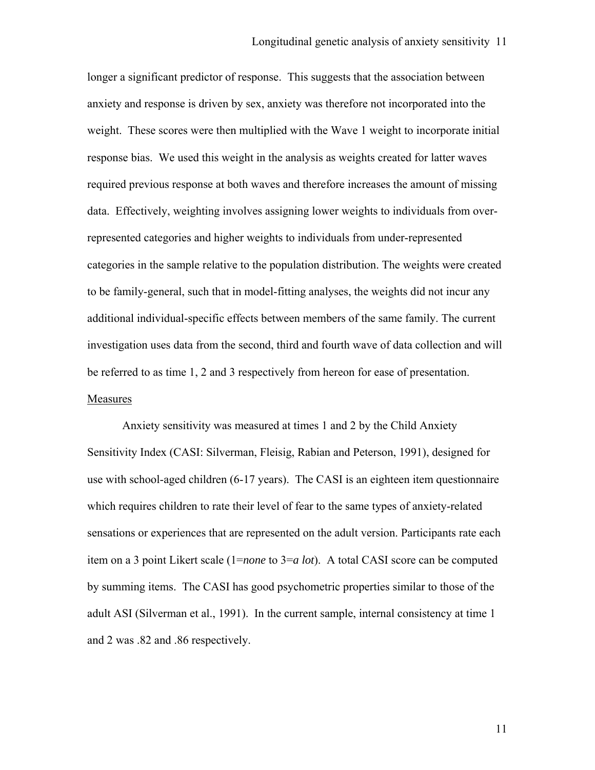longer a significant predictor of response. This suggests that the association between anxiety and response is driven by sex, anxiety was therefore not incorporated into the weight. These scores were then multiplied with the Wave 1 weight to incorporate initial response bias. We used this weight in the analysis as weights created for latter waves required previous response at both waves and therefore increases the amount of missing data. Effectively, weighting involves assigning lower weights to individuals from overrepresented categories and higher weights to individuals from under-represented categories in the sample relative to the population distribution. The weights were created to be family-general, such that in model-fitting analyses, the weights did not incur any additional individual-specific effects between members of the same family. The current investigation uses data from the second, third and fourth wave of data collection and will be referred to as time 1, 2 and 3 respectively from hereon for ease of presentation. Measures

Anxiety sensitivity was measured at times 1 and 2 by the Child Anxiety Sensitivity Index (CASI: Silverman, Fleisig, Rabian and Peterson, 1991), designed for use with school-aged children (6-17 years). The CASI is an eighteen item questionnaire which requires children to rate their level of fear to the same types of anxiety-related sensations or experiences that are represented on the adult version. Participants rate each item on a 3 point Likert scale (1=*none* to 3=*a lot*). A total CASI score can be computed by summing items. The CASI has good psychometric properties similar to those of the adult ASI (Silverman et al., 1991). In the current sample, internal consistency at time 1 and 2 was .82 and .86 respectively.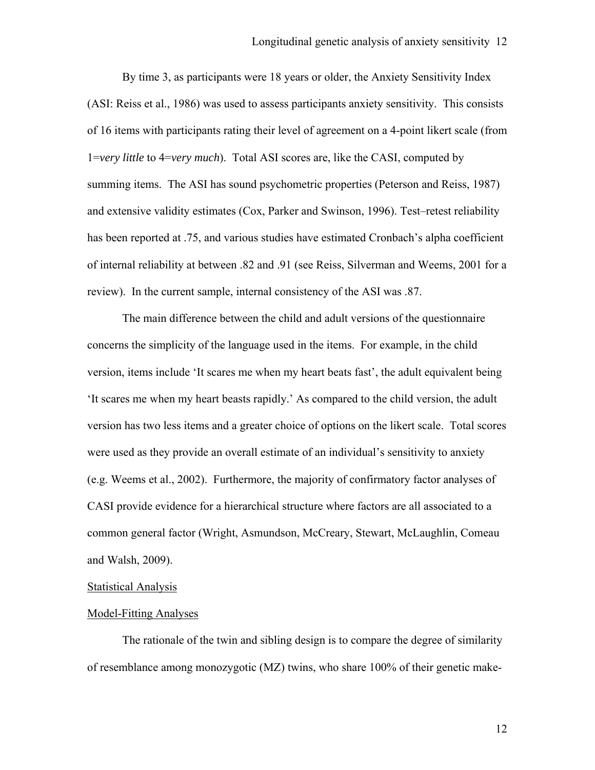By time 3, as participants were 18 years or older, the Anxiety Sensitivity Index (ASI: Reiss et al., 1986) was used to assess participants anxiety sensitivity. This consists of 16 items with participants rating their level of agreement on a 4-point likert scale (from 1=*very little* to 4=*very much*). Total ASI scores are, like the CASI, computed by summing items. The ASI has sound psychometric properties (Peterson and Reiss, 1987) and extensive validity estimates (Cox, Parker and Swinson, 1996). Test–retest reliability has been reported at .75, and various studies have estimated Cronbach's alpha coefficient of internal reliability at between .82 and .91 (see Reiss, Silverman and Weems, 2001 for a review). In the current sample, internal consistency of the ASI was .87.

The main difference between the child and adult versions of the questionnaire concerns the simplicity of the language used in the items. For example, in the child version, items include 'It scares me when my heart beats fast', the adult equivalent being 'It scares me when my heart beasts rapidly.' As compared to the child version, the adult version has two less items and a greater choice of options on the likert scale. Total scores were used as they provide an overall estimate of an individual's sensitivity to anxiety (e.g. Weems et al., 2002). Furthermore, the majority of confirmatory factor analyses of CASI provide evidence for a hierarchical structure where factors are all associated to a common general factor (Wright, Asmundson, McCreary, Stewart, McLaughlin, Comeau and Walsh, 2009).

## Statistical Analysis

#### Model-Fitting Analyses

The rationale of the twin and sibling design is to compare the degree of similarity of resemblance among monozygotic (MZ) twins, who share 100% of their genetic make-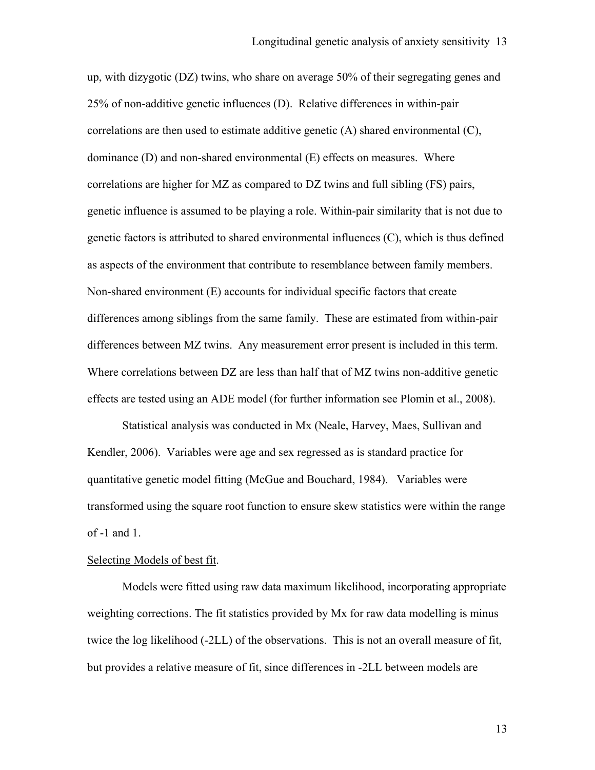up, with dizygotic (DZ) twins, who share on average 50% of their segregating genes and 25% of non-additive genetic influences (D). Relative differences in within-pair correlations are then used to estimate additive genetic (A) shared environmental (C), dominance (D) and non-shared environmental (E) effects on measures. Where correlations are higher for MZ as compared to DZ twins and full sibling (FS) pairs, genetic influence is assumed to be playing a role. Within-pair similarity that is not due to genetic factors is attributed to shared environmental influences (C), which is thus defined as aspects of the environment that contribute to resemblance between family members. Non-shared environment (E) accounts for individual specific factors that create differences among siblings from the same family. These are estimated from within-pair differences between MZ twins. Any measurement error present is included in this term. Where correlations between DZ are less than half that of MZ twins non-additive genetic effects are tested using an ADE model (for further information see Plomin et al., 2008).

Statistical analysis was conducted in Mx (Neale, Harvey, Maes, Sullivan and Kendler, 2006). Variables were age and sex regressed as is standard practice for quantitative genetic model fitting (McGue and Bouchard, 1984). Variables were transformed using the square root function to ensure skew statistics were within the range of -1 and 1.

## Selecting Models of best fit.

Models were fitted using raw data maximum likelihood, incorporating appropriate weighting corrections. The fit statistics provided by Mx for raw data modelling is minus twice the log likelihood (-2LL) of the observations. This is not an overall measure of fit, but provides a relative measure of fit, since differences in -2LL between models are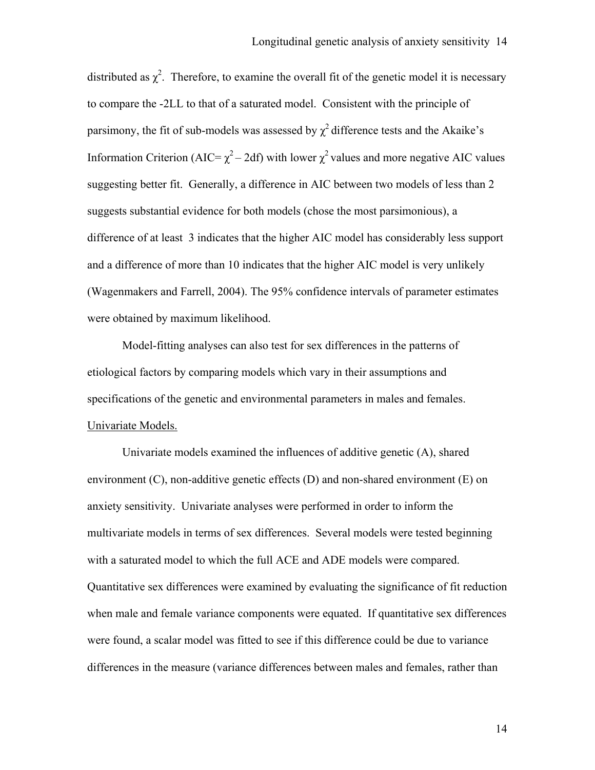distributed as  $\chi^2$ . Therefore, to examine the overall fit of the genetic model it is necessary to compare the -2LL to that of a saturated model. Consistent with the principle of parsimony, the fit of sub-models was assessed by  $\chi^2$  difference tests and the Akaike's Information Criterion (AIC=  $\chi^2$  – 2df) with lower  $\chi^2$  values and more negative AIC values suggesting better fit.Generally, a difference in AIC between two models of less than 2 suggests substantial evidence for both models (chose the most parsimonious), a difference of at least 3 indicates that the higher AIC model has considerably less support and a difference of more than 10 indicates that the higher AIC model is very unlikely (Wagenmakers and Farrell, 2004). The 95% confidence intervals of parameter estimates were obtained by maximum likelihood.

Model-fitting analyses can also test for sex differences in the patterns of etiological factors by comparing models which vary in their assumptions and specifications of the genetic and environmental parameters in males and females. Univariate Models.

Univariate models examined the influences of additive genetic (A), shared environment (C), non-additive genetic effects (D) and non-shared environment (E) on anxiety sensitivity. Univariate analyses were performed in order to inform the multivariate models in terms of sex differences. Several models were tested beginning with a saturated model to which the full ACE and ADE models were compared. Quantitative sex differences were examined by evaluating the significance of fit reduction when male and female variance components were equated. If quantitative sex differences were found, a scalar model was fitted to see if this difference could be due to variance differences in the measure (variance differences between males and females, rather than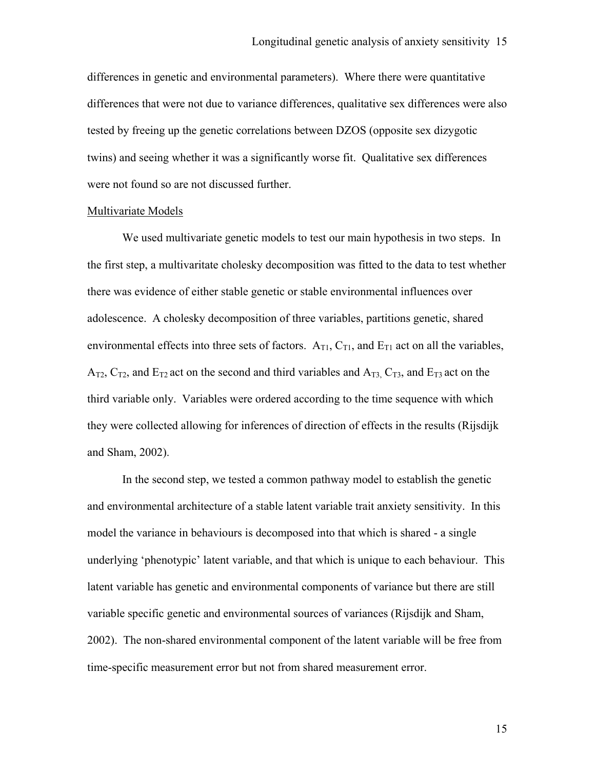differences in genetic and environmental parameters). Where there were quantitative differences that were not due to variance differences, qualitative sex differences were also tested by freeing up the genetic correlations between DZOS (opposite sex dizygotic twins) and seeing whether it was a significantly worse fit. Qualitative sex differences were not found so are not discussed further.

#### Multivariate Models

We used multivariate genetic models to test our main hypothesis in two steps. In the first step, a multivaritate cholesky decomposition was fitted to the data to test whether there was evidence of either stable genetic or stable environmental influences over adolescence. A cholesky decomposition of three variables, partitions genetic, shared environmental effects into three sets of factors.  $A_{T1}$ ,  $C_{T1}$ , and  $E_{T1}$  act on all the variables,  $A_{T2}$ ,  $C_{T2}$ , and  $E_{T2}$  act on the second and third variables and  $A_{T3}$ ,  $C_{T3}$ , and  $E_{T3}$  act on the third variable only. Variables were ordered according to the time sequence with which they were collected allowing for inferences of direction of effects in the results (Rijsdijk and Sham, 2002).

In the second step, we tested a common pathway model to establish the genetic and environmental architecture of a stable latent variable trait anxiety sensitivity. In this model the variance in behaviours is decomposed into that which is shared - a single underlying 'phenotypic' latent variable, and that which is unique to each behaviour. This latent variable has genetic and environmental components of variance but there are still variable specific genetic and environmental sources of variances (Rijsdijk and Sham, 2002). The non-shared environmental component of the latent variable will be free from time-specific measurement error but not from shared measurement error.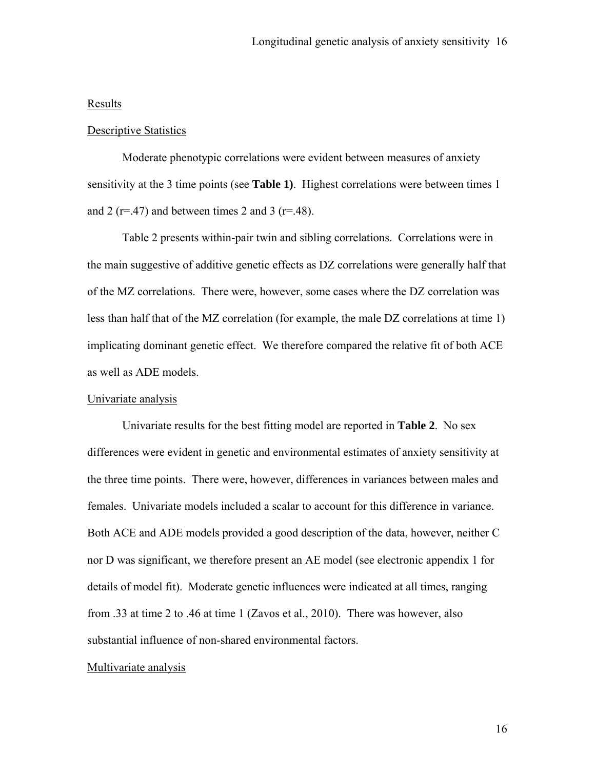## Results

#### Descriptive Statistics

Moderate phenotypic correlations were evident between measures of anxiety sensitivity at the 3 time points (see **Table 1)**. Highest correlations were between times 1 and 2 ( $r=47$ ) and between times 2 and 3 ( $r=48$ ).

 Table 2 presents within-pair twin and sibling correlations. Correlations were in the main suggestive of additive genetic effects as DZ correlations were generally half that of the MZ correlations. There were, however, some cases where the DZ correlation was less than half that of the MZ correlation (for example, the male DZ correlations at time 1) implicating dominant genetic effect. We therefore compared the relative fit of both ACE as well as ADE models.

#### Univariate analysis

 Univariate results for the best fitting model are reported in **Table 2**. No sex differences were evident in genetic and environmental estimates of anxiety sensitivity at the three time points. There were, however, differences in variances between males and females. Univariate models included a scalar to account for this difference in variance. Both ACE and ADE models provided a good description of the data, however, neither C nor D was significant, we therefore present an AE model (see electronic appendix 1 for details of model fit). Moderate genetic influences were indicated at all times, ranging from .33 at time 2 to .46 at time 1 (Zavos et al., 2010). There was however, also substantial influence of non-shared environmental factors.

#### Multivariate analysis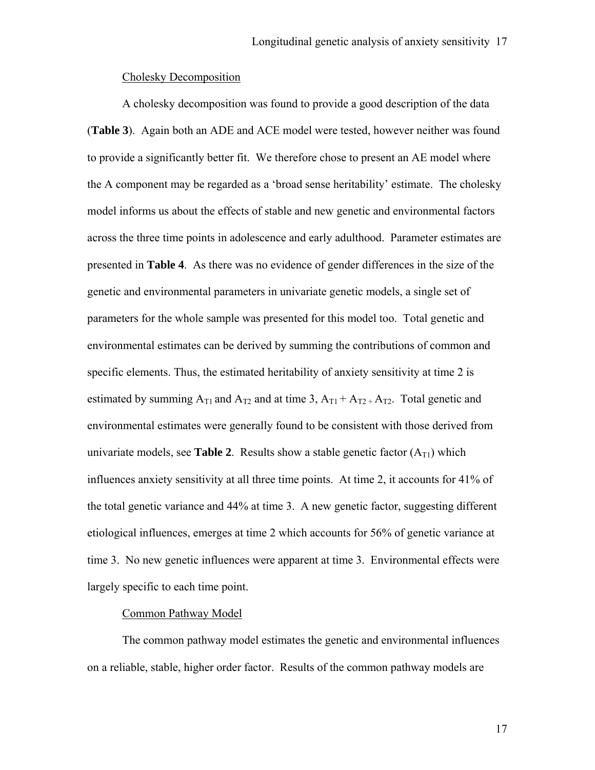## Cholesky Decomposition

 A cholesky decomposition was found to provide a good description of the data (**Table 3**). Again both an ADE and ACE model were tested, however neither was found to provide a significantly better fit. We therefore chose to present an AE model where the A component may be regarded as a 'broad sense heritability' estimate. The cholesky model informs us about the effects of stable and new genetic and environmental factors across the three time points in adolescence and early adulthood. Parameter estimates are presented in **Table 4**. As there was no evidence of gender differences in the size of the genetic and environmental parameters in univariate genetic models, a single set of parameters for the whole sample was presented for this model too. Total genetic and environmental estimates can be derived by summing the contributions of common and specific elements. Thus, the estimated heritability of anxiety sensitivity at time 2 is estimated by summing  $A_{T1}$  and  $A_{T2}$  and at time 3,  $A_{T1} + A_{T2} + A_{T2}$ . Total genetic and environmental estimates were generally found to be consistent with those derived from univariate models, see **Table 2**. Results show a stable genetic factor  $(A_{T1})$  which influences anxiety sensitivity at all three time points. At time 2, it accounts for 41% of the total genetic variance and 44% at time 3. A new genetic factor, suggesting different etiological influences, emerges at time 2 which accounts for 56% of genetic variance at time 3. No new genetic influences were apparent at time 3. Environmental effects were largely specific to each time point.

## Common Pathway Model

The common pathway model estimates the genetic and environmental influences on a reliable, stable, higher order factor. Results of the common pathway models are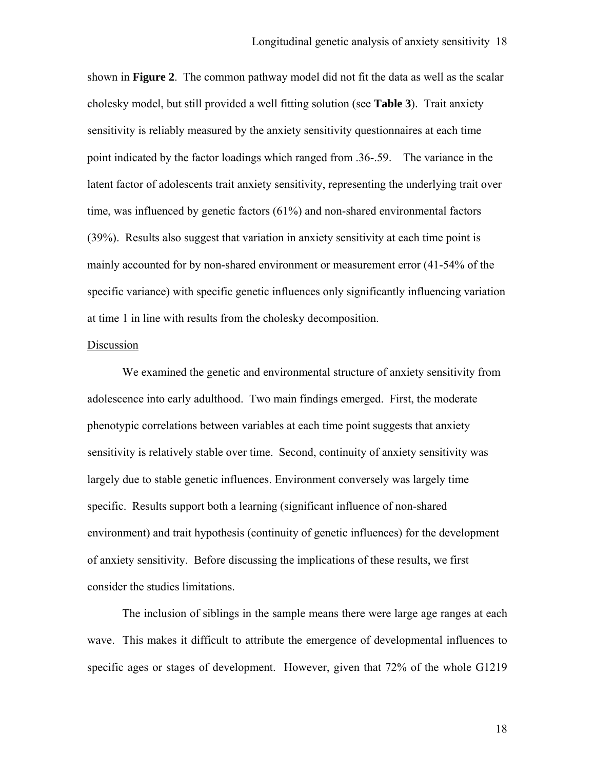shown in **Figure 2**. The common pathway model did not fit the data as well as the scalar cholesky model, but still provided a well fitting solution (see **Table 3**). Trait anxiety sensitivity is reliably measured by the anxiety sensitivity questionnaires at each time point indicated by the factor loadings which ranged from .36-.59. The variance in the latent factor of adolescents trait anxiety sensitivity, representing the underlying trait over time, was influenced by genetic factors (61%) and non-shared environmental factors (39%). Results also suggest that variation in anxiety sensitivity at each time point is mainly accounted for by non-shared environment or measurement error (41-54% of the specific variance) with specific genetic influences only significantly influencing variation at time 1 in line with results from the cholesky decomposition.

#### Discussion

We examined the genetic and environmental structure of anxiety sensitivity from adolescence into early adulthood. Two main findings emerged. First, the moderate phenotypic correlations between variables at each time point suggests that anxiety sensitivity is relatively stable over time. Second, continuity of anxiety sensitivity was largely due to stable genetic influences. Environment conversely was largely time specific. Results support both a learning (significant influence of non-shared environment) and trait hypothesis (continuity of genetic influences) for the development of anxiety sensitivity. Before discussing the implications of these results, we first consider the studies limitations.

The inclusion of siblings in the sample means there were large age ranges at each wave. This makes it difficult to attribute the emergence of developmental influences to specific ages or stages of development. However, given that 72% of the whole G1219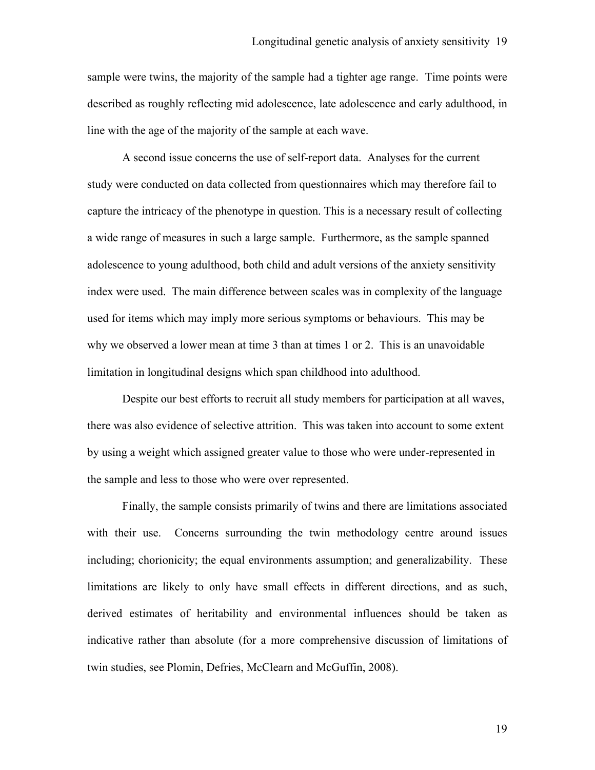sample were twins, the majority of the sample had a tighter age range. Time points were described as roughly reflecting mid adolescence, late adolescence and early adulthood, in line with the age of the majority of the sample at each wave.

A second issue concerns the use of self-report data. Analyses for the current study were conducted on data collected from questionnaires which may therefore fail to capture the intricacy of the phenotype in question. This is a necessary result of collecting a wide range of measures in such a large sample. Furthermore, as the sample spanned adolescence to young adulthood, both child and adult versions of the anxiety sensitivity index were used. The main difference between scales was in complexity of the language used for items which may imply more serious symptoms or behaviours. This may be why we observed a lower mean at time 3 than at times 1 or 2. This is an unavoidable limitation in longitudinal designs which span childhood into adulthood.

Despite our best efforts to recruit all study members for participation at all waves, there was also evidence of selective attrition. This was taken into account to some extent by using a weight which assigned greater value to those who were under-represented in the sample and less to those who were over represented.

Finally, the sample consists primarily of twins and there are limitations associated with their use. Concerns surrounding the twin methodology centre around issues including; chorionicity; the equal environments assumption; and generalizability. These limitations are likely to only have small effects in different directions, and as such, derived estimates of heritability and environmental influences should be taken as indicative rather than absolute (for a more comprehensive discussion of limitations of twin studies, see Plomin, Defries, McClearn and McGuffin, 2008).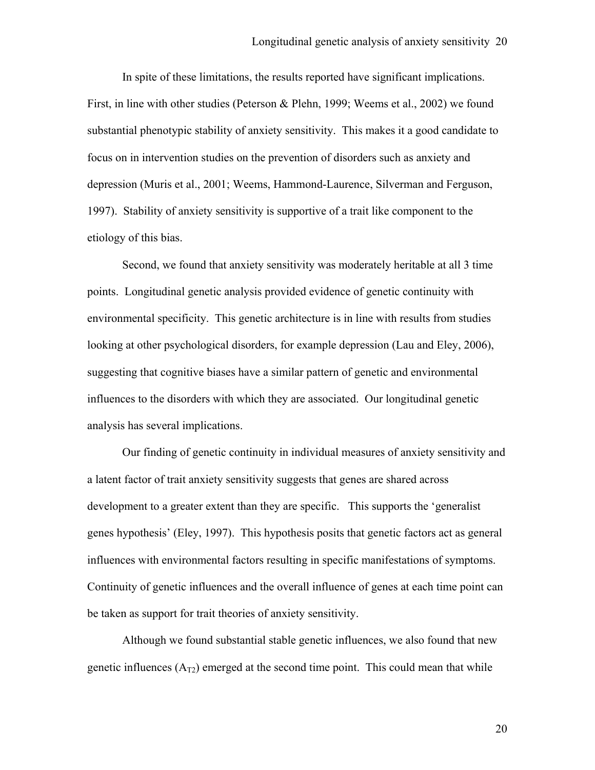In spite of these limitations, the results reported have significant implications. First, in line with other studies (Peterson & Plehn, 1999; Weems et al., 2002) we found substantial phenotypic stability of anxiety sensitivity. This makes it a good candidate to focus on in intervention studies on the prevention of disorders such as anxiety and depression (Muris et al., 2001; Weems, Hammond-Laurence, Silverman and Ferguson, 1997). Stability of anxiety sensitivity is supportive of a trait like component to the etiology of this bias.

Second, we found that anxiety sensitivity was moderately heritable at all 3 time points. Longitudinal genetic analysis provided evidence of genetic continuity with environmental specificity. This genetic architecture is in line with results from studies looking at other psychological disorders, for example depression (Lau and Eley, 2006), suggesting that cognitive biases have a similar pattern of genetic and environmental influences to the disorders with which they are associated. Our longitudinal genetic analysis has several implications.

Our finding of genetic continuity in individual measures of anxiety sensitivity and a latent factor of trait anxiety sensitivity suggests that genes are shared across development to a greater extent than they are specific. This supports the 'generalist genes hypothesis' (Eley, 1997). This hypothesis posits that genetic factors act as general influences with environmental factors resulting in specific manifestations of symptoms. Continuity of genetic influences and the overall influence of genes at each time point can be taken as support for trait theories of anxiety sensitivity.

Although we found substantial stable genetic influences, we also found that new genetic influences  $(A_{T2})$  emerged at the second time point. This could mean that while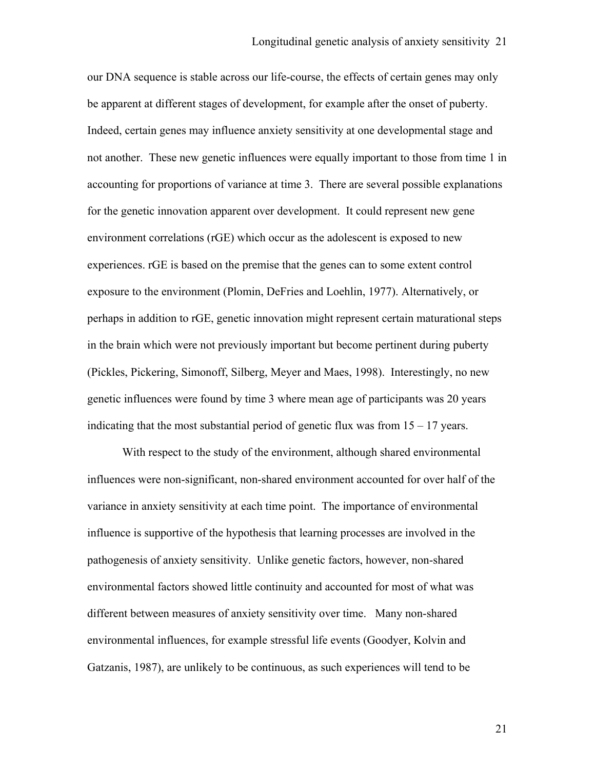our DNA sequence is stable across our life-course, the effects of certain genes may only be apparent at different stages of development, for example after the onset of puberty. Indeed, certain genes may influence anxiety sensitivity at one developmental stage and not another. These new genetic influences were equally important to those from time 1 in accounting for proportions of variance at time 3. There are several possible explanations for the genetic innovation apparent over development. It could represent new gene environment correlations (rGE) which occur as the adolescent is exposed to new experiences. rGE is based on the premise that the genes can to some extent control exposure to the environment (Plomin, DeFries and Loehlin, 1977). Alternatively, or perhaps in addition to rGE, genetic innovation might represent certain maturational steps in the brain which were not previously important but become pertinent during puberty (Pickles, Pickering, Simonoff, Silberg, Meyer and Maes, 1998). Interestingly, no new genetic influences were found by time 3 where mean age of participants was 20 years indicating that the most substantial period of genetic flux was from  $15 - 17$  years.

With respect to the study of the environment, although shared environmental influences were non-significant, non-shared environment accounted for over half of the variance in anxiety sensitivity at each time point. The importance of environmental influence is supportive of the hypothesis that learning processes are involved in the pathogenesis of anxiety sensitivity. Unlike genetic factors, however, non-shared environmental factors showed little continuity and accounted for most of what was different between measures of anxiety sensitivity over time. Many non-shared environmental influences, for example stressful life events (Goodyer, Kolvin and Gatzanis, 1987), are unlikely to be continuous, as such experiences will tend to be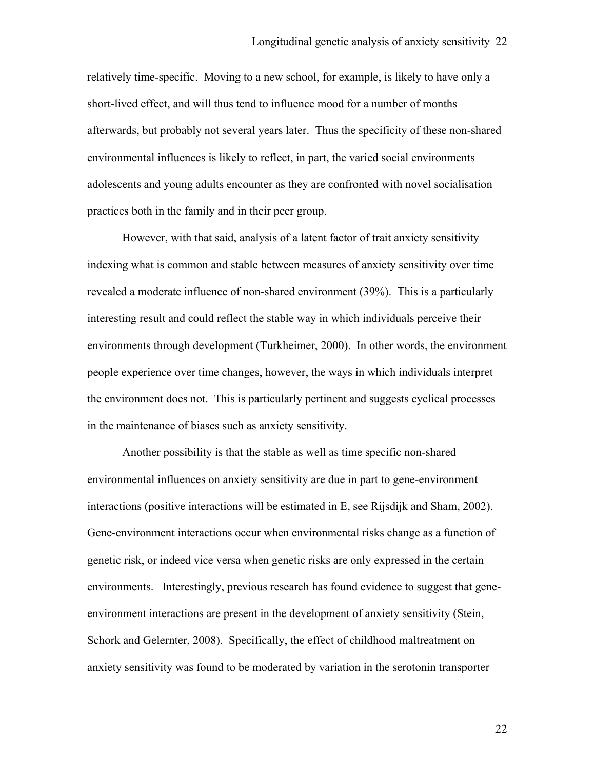relatively time-specific. Moving to a new school, for example, is likely to have only a short-lived effect, and will thus tend to influence mood for a number of months afterwards, but probably not several years later. Thus the specificity of these non-shared environmental influences is likely to reflect, in part, the varied social environments adolescents and young adults encounter as they are confronted with novel socialisation practices both in the family and in their peer group.

However, with that said, analysis of a latent factor of trait anxiety sensitivity indexing what is common and stable between measures of anxiety sensitivity over time revealed a moderate influence of non-shared environment (39%). This is a particularly interesting result and could reflect the stable way in which individuals perceive their environments through development (Turkheimer, 2000). In other words, the environment people experience over time changes, however, the ways in which individuals interpret the environment does not. This is particularly pertinent and suggests cyclical processes in the maintenance of biases such as anxiety sensitivity.

Another possibility is that the stable as well as time specific non-shared environmental influences on anxiety sensitivity are due in part to gene-environment interactions (positive interactions will be estimated in E, see Rijsdijk and Sham, 2002). Gene-environment interactions occur when environmental risks change as a function of genetic risk, or indeed vice versa when genetic risks are only expressed in the certain environments. Interestingly, previous research has found evidence to suggest that geneenvironment interactions are present in the development of anxiety sensitivity (Stein, Schork and Gelernter, 2008). Specifically, the effect of childhood maltreatment on anxiety sensitivity was found to be moderated by variation in the serotonin transporter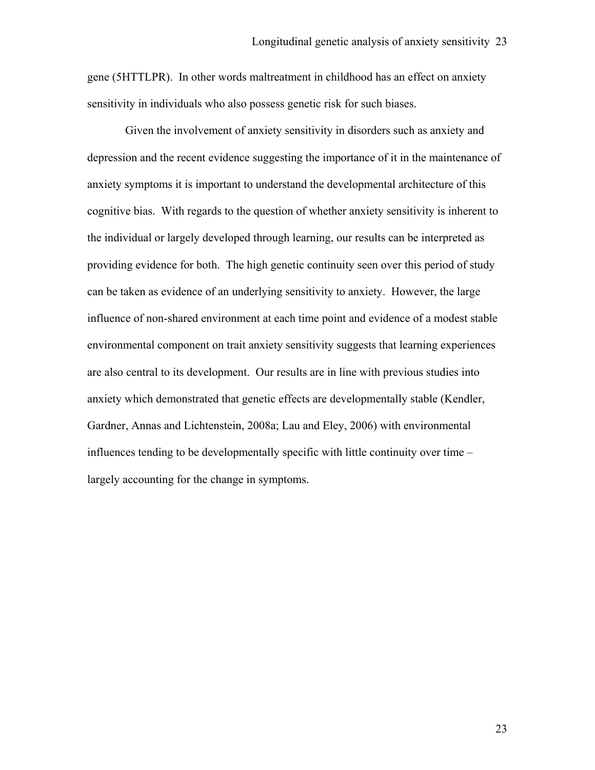gene (5HTTLPR). In other words maltreatment in childhood has an effect on anxiety sensitivity in individuals who also possess genetic risk for such biases.

 Given the involvement of anxiety sensitivity in disorders such as anxiety and depression and the recent evidence suggesting the importance of it in the maintenance of anxiety symptoms it is important to understand the developmental architecture of this cognitive bias. With regards to the question of whether anxiety sensitivity is inherent to the individual or largely developed through learning, our results can be interpreted as providing evidence for both. The high genetic continuity seen over this period of study can be taken as evidence of an underlying sensitivity to anxiety. However, the large influence of non-shared environment at each time point and evidence of a modest stable environmental component on trait anxiety sensitivity suggests that learning experiences are also central to its development. Our results are in line with previous studies into anxiety which demonstrated that genetic effects are developmentally stable (Kendler, Gardner, Annas and Lichtenstein, 2008a; Lau and Eley, 2006) with environmental influences tending to be developmentally specific with little continuity over time – largely accounting for the change in symptoms.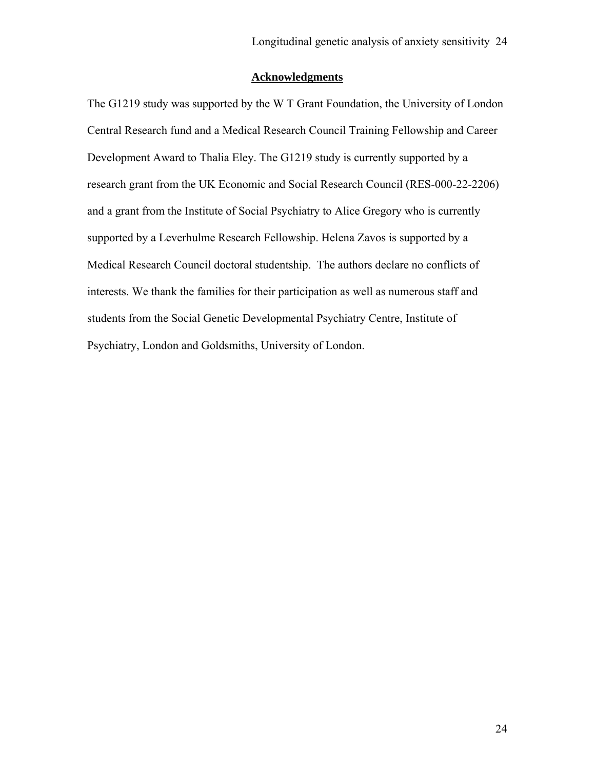## **Acknowledgments**

The G1219 study was supported by the W T Grant Foundation, the University of London Central Research fund and a Medical Research Council Training Fellowship and Career Development Award to Thalia Eley. The G1219 study is currently supported by a research grant from the UK Economic and Social Research Council (RES-000-22-2206) and a grant from the Institute of Social Psychiatry to Alice Gregory who is currently supported by a Leverhulme Research Fellowship. Helena Zavos is supported by a Medical Research Council doctoral studentship. The authors declare no conflicts of interests. We thank the families for their participation as well as numerous staff and students from the Social Genetic Developmental Psychiatry Centre, Institute of Psychiatry, London and Goldsmiths, University of London.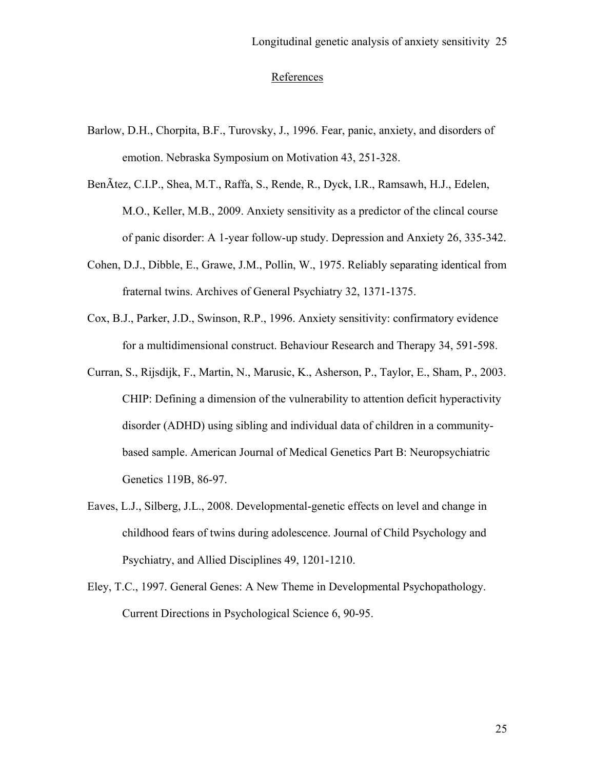## References

- Barlow, D.H., Chorpita, B.F., Turovsky, J., 1996. Fear, panic, anxiety, and disorders of emotion. Nebraska Symposium on Motivation 43, 251-328.
- BenÃtez, C.I.P., Shea, M.T., Raffa, S., Rende, R., Dyck, I.R., Ramsawh, H.J., Edelen, M.O., Keller, M.B., 2009. Anxiety sensitivity as a predictor of the clincal course of panic disorder: A 1-year follow-up study. Depression and Anxiety 26, 335-342.
- Cohen, D.J., Dibble, E., Grawe, J.M., Pollin, W., 1975. Reliably separating identical from fraternal twins. Archives of General Psychiatry 32, 1371-1375.
- Cox, B.J., Parker, J.D., Swinson, R.P., 1996. Anxiety sensitivity: confirmatory evidence for a multidimensional construct. Behaviour Research and Therapy 34, 591-598.
- Curran, S., Rijsdijk, F., Martin, N., Marusic, K., Asherson, P., Taylor, E., Sham, P., 2003. CHIP: Defining a dimension of the vulnerability to attention deficit hyperactivity disorder (ADHD) using sibling and individual data of children in a communitybased sample. American Journal of Medical Genetics Part B: Neuropsychiatric Genetics 119B, 86-97.
- Eaves, L.J., Silberg, J.L., 2008. Developmental-genetic effects on level and change in childhood fears of twins during adolescence. Journal of Child Psychology and Psychiatry, and Allied Disciplines 49, 1201-1210.
- Eley, T.C., 1997. General Genes: A New Theme in Developmental Psychopathology. Current Directions in Psychological Science 6, 90-95.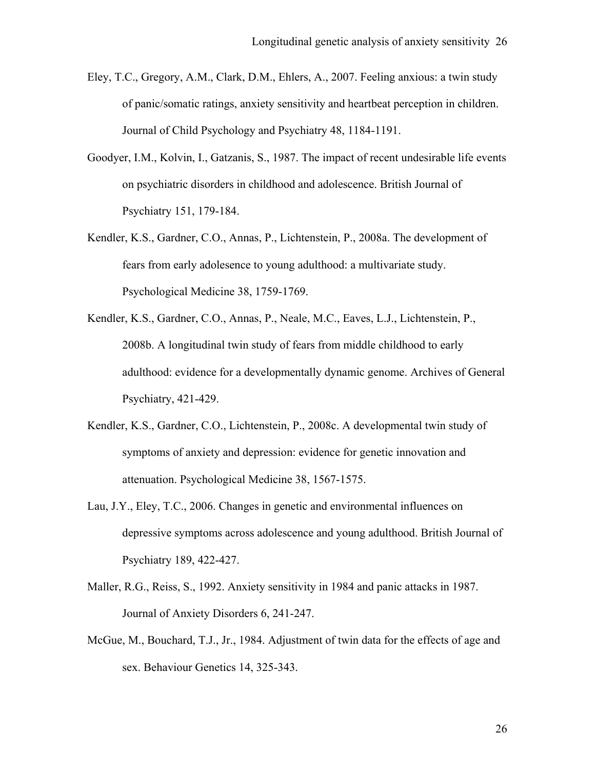- Eley, T.C., Gregory, A.M., Clark, D.M., Ehlers, A., 2007. Feeling anxious: a twin study of panic/somatic ratings, anxiety sensitivity and heartbeat perception in children. Journal of Child Psychology and Psychiatry 48, 1184-1191.
- Goodyer, I.M., Kolvin, I., Gatzanis, S., 1987. The impact of recent undesirable life events on psychiatric disorders in childhood and adolescence. British Journal of Psychiatry 151, 179-184.
- Kendler, K.S., Gardner, C.O., Annas, P., Lichtenstein, P., 2008a. The development of fears from early adolesence to young adulthood: a multivariate study. Psychological Medicine 38, 1759-1769.
- Kendler, K.S., Gardner, C.O., Annas, P., Neale, M.C., Eaves, L.J., Lichtenstein, P., 2008b. A longitudinal twin study of fears from middle childhood to early adulthood: evidence for a developmentally dynamic genome. Archives of General Psychiatry, 421-429.
- Kendler, K.S., Gardner, C.O., Lichtenstein, P., 2008c. A developmental twin study of symptoms of anxiety and depression: evidence for genetic innovation and attenuation. Psychological Medicine 38, 1567-1575.
- Lau, J.Y., Eley, T.C., 2006. Changes in genetic and environmental influences on depressive symptoms across adolescence and young adulthood. British Journal of Psychiatry 189, 422-427.
- Maller, R.G., Reiss, S., 1992. Anxiety sensitivity in 1984 and panic attacks in 1987. Journal of Anxiety Disorders 6, 241-247.
- McGue, M., Bouchard, T.J., Jr., 1984. Adjustment of twin data for the effects of age and sex. Behaviour Genetics 14, 325-343.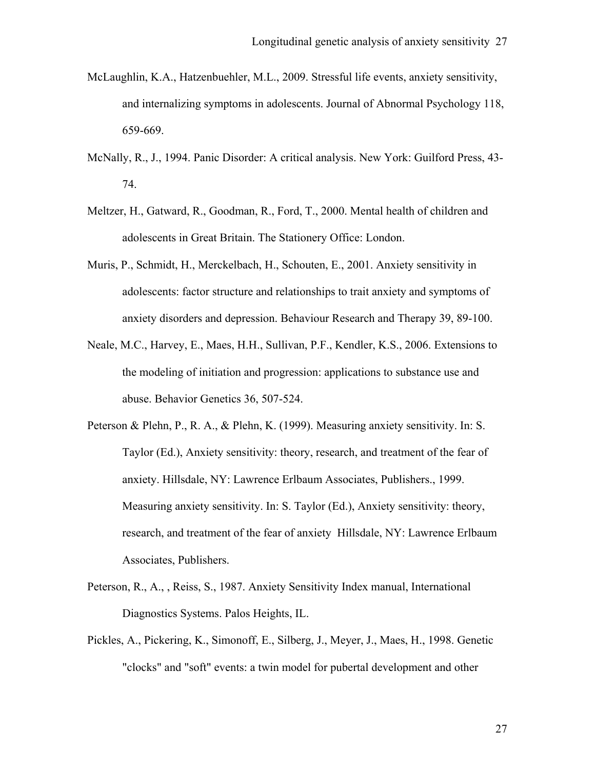- McLaughlin, K.A., Hatzenbuehler, M.L., 2009. Stressful life events, anxiety sensitivity, and internalizing symptoms in adolescents. Journal of Abnormal Psychology 118, 659-669.
- McNally, R., J., 1994. Panic Disorder: A critical analysis. New York: Guilford Press, 43- 74.
- Meltzer, H., Gatward, R., Goodman, R., Ford, T., 2000. Mental health of children and adolescents in Great Britain. The Stationery Office: London.
- Muris, P., Schmidt, H., Merckelbach, H., Schouten, E., 2001. Anxiety sensitivity in adolescents: factor structure and relationships to trait anxiety and symptoms of anxiety disorders and depression. Behaviour Research and Therapy 39, 89-100.
- Neale, M.C., Harvey, E., Maes, H.H., Sullivan, P.F., Kendler, K.S., 2006. Extensions to the modeling of initiation and progression: applications to substance use and abuse. Behavior Genetics 36, 507-524.
- Peterson & Plehn, P., R. A., & Plehn, K. (1999). Measuring anxiety sensitivity. In: S. Taylor (Ed.), Anxiety sensitivity: theory, research, and treatment of the fear of anxiety. Hillsdale, NY: Lawrence Erlbaum Associates, Publishers., 1999. Measuring anxiety sensitivity. In: S. Taylor (Ed.), Anxiety sensitivity: theory, research, and treatment of the fear of anxiety Hillsdale, NY: Lawrence Erlbaum Associates, Publishers.
- Peterson, R., A., , Reiss, S., 1987. Anxiety Sensitivity Index manual, International Diagnostics Systems. Palos Heights, IL.
- Pickles, A., Pickering, K., Simonoff, E., Silberg, J., Meyer, J., Maes, H., 1998. Genetic "clocks" and "soft" events: a twin model for pubertal development and other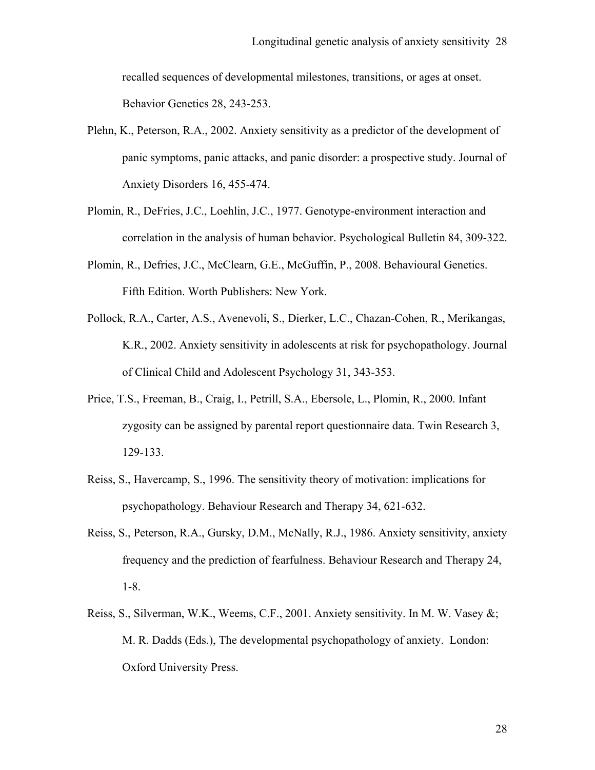recalled sequences of developmental milestones, transitions, or ages at onset. Behavior Genetics 28, 243-253.

- Plehn, K., Peterson, R.A., 2002. Anxiety sensitivity as a predictor of the development of panic symptoms, panic attacks, and panic disorder: a prospective study. Journal of Anxiety Disorders 16, 455-474.
- Plomin, R., DeFries, J.C., Loehlin, J.C., 1977. Genotype-environment interaction and correlation in the analysis of human behavior. Psychological Bulletin 84, 309-322.
- Plomin, R., Defries, J.C., McClearn, G.E., McGuffin, P., 2008. Behavioural Genetics. Fifth Edition. Worth Publishers: New York.
- Pollock, R.A., Carter, A.S., Avenevoli, S., Dierker, L.C., Chazan-Cohen, R., Merikangas, K.R., 2002. Anxiety sensitivity in adolescents at risk for psychopathology. Journal of Clinical Child and Adolescent Psychology 31, 343-353.
- Price, T.S., Freeman, B., Craig, I., Petrill, S.A., Ebersole, L., Plomin, R., 2000. Infant zygosity can be assigned by parental report questionnaire data. Twin Research 3, 129-133.
- Reiss, S., Havercamp, S., 1996. The sensitivity theory of motivation: implications for psychopathology. Behaviour Research and Therapy 34, 621-632.
- Reiss, S., Peterson, R.A., Gursky, D.M., McNally, R.J., 1986. Anxiety sensitivity, anxiety frequency and the prediction of fearfulness. Behaviour Research and Therapy 24, 1-8.
- Reiss, S., Silverman, W.K., Weems, C.F., 2001. Anxiety sensitivity. In M. W. Vasey &; M. R. Dadds (Eds.), The developmental psychopathology of anxiety. London: Oxford University Press.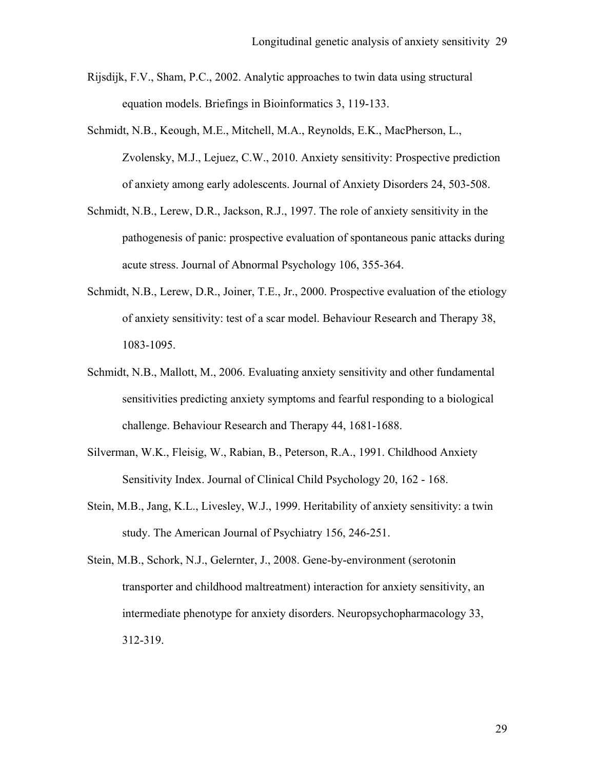- Rijsdijk, F.V., Sham, P.C., 2002. Analytic approaches to twin data using structural equation models. Briefings in Bioinformatics 3, 119-133.
- Schmidt, N.B., Keough, M.E., Mitchell, M.A., Reynolds, E.K., MacPherson, L., Zvolensky, M.J., Lejuez, C.W., 2010. Anxiety sensitivity: Prospective prediction of anxiety among early adolescents. Journal of Anxiety Disorders 24, 503-508.
- Schmidt, N.B., Lerew, D.R., Jackson, R.J., 1997. The role of anxiety sensitivity in the pathogenesis of panic: prospective evaluation of spontaneous panic attacks during acute stress. Journal of Abnormal Psychology 106, 355-364.
- Schmidt, N.B., Lerew, D.R., Joiner, T.E., Jr., 2000. Prospective evaluation of the etiology of anxiety sensitivity: test of a scar model. Behaviour Research and Therapy 38, 1083-1095.
- Schmidt, N.B., Mallott, M., 2006. Evaluating anxiety sensitivity and other fundamental sensitivities predicting anxiety symptoms and fearful responding to a biological challenge. Behaviour Research and Therapy 44, 1681-1688.
- Silverman, W.K., Fleisig, W., Rabian, B., Peterson, R.A., 1991. Childhood Anxiety Sensitivity Index. Journal of Clinical Child Psychology 20, 162 - 168.
- Stein, M.B., Jang, K.L., Livesley, W.J., 1999. Heritability of anxiety sensitivity: a twin study. The American Journal of Psychiatry 156, 246-251.
- Stein, M.B., Schork, N.J., Gelernter, J., 2008. Gene-by-environment (serotonin transporter and childhood maltreatment) interaction for anxiety sensitivity, an intermediate phenotype for anxiety disorders. Neuropsychopharmacology 33, 312-319.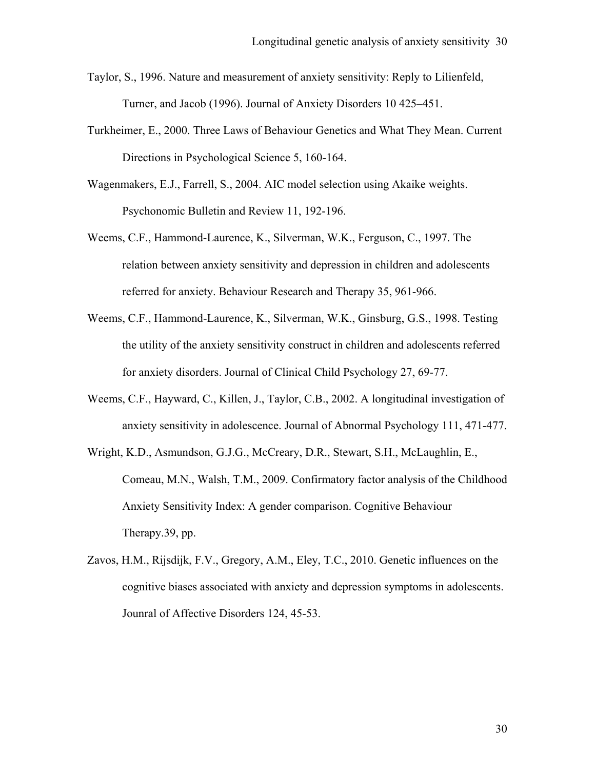- Taylor, S., 1996. Nature and measurement of anxiety sensitivity: Reply to Lilienfeld, Turner, and Jacob (1996). Journal of Anxiety Disorders 10 425–451.
- Turkheimer, E., 2000. Three Laws of Behaviour Genetics and What They Mean. Current Directions in Psychological Science 5, 160-164.
- Wagenmakers, E.J., Farrell, S., 2004. AIC model selection using Akaike weights. Psychonomic Bulletin and Review 11, 192-196.
- Weems, C.F., Hammond-Laurence, K., Silverman, W.K., Ferguson, C., 1997. The relation between anxiety sensitivity and depression in children and adolescents referred for anxiety. Behaviour Research and Therapy 35, 961-966.
- Weems, C.F., Hammond-Laurence, K., Silverman, W.K., Ginsburg, G.S., 1998. Testing the utility of the anxiety sensitivity construct in children and adolescents referred for anxiety disorders. Journal of Clinical Child Psychology 27, 69-77.
- Weems, C.F., Hayward, C., Killen, J., Taylor, C.B., 2002. A longitudinal investigation of anxiety sensitivity in adolescence. Journal of Abnormal Psychology 111, 471-477.
- Wright, K.D., Asmundson, G.J.G., McCreary, D.R., Stewart, S.H., McLaughlin, E., Comeau, M.N., Walsh, T.M., 2009. Confirmatory factor analysis of the Childhood Anxiety Sensitivity Index: A gender comparison. Cognitive Behaviour Therapy.39, pp.
- Zavos, H.M., Rijsdijk, F.V., Gregory, A.M., Eley, T.C., 2010. Genetic influences on the cognitive biases associated with anxiety and depression symptoms in adolescents. Jounral of Affective Disorders 124, 45-53.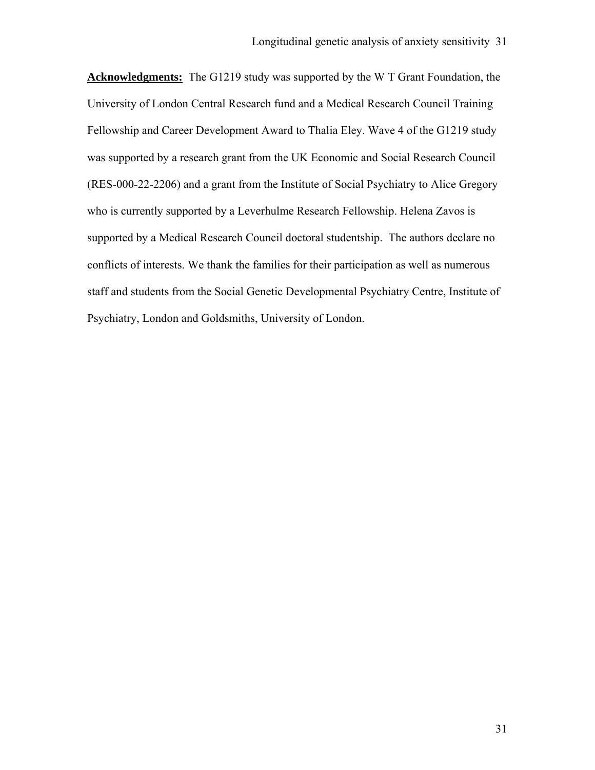**Acknowledgments:** The G1219 study was supported by the W T Grant Foundation, the University of London Central Research fund and a Medical Research Council Training Fellowship and Career Development Award to Thalia Eley. Wave 4 of the G1219 study was supported by a research grant from the UK Economic and Social Research Council (RES-000-22-2206) and a grant from the Institute of Social Psychiatry to Alice Gregory who is currently supported by a Leverhulme Research Fellowship. Helena Zavos is supported by a Medical Research Council doctoral studentship. The authors declare no conflicts of interests. We thank the families for their participation as well as numerous staff and students from the Social Genetic Developmental Psychiatry Centre, Institute of Psychiatry, London and Goldsmiths, University of London.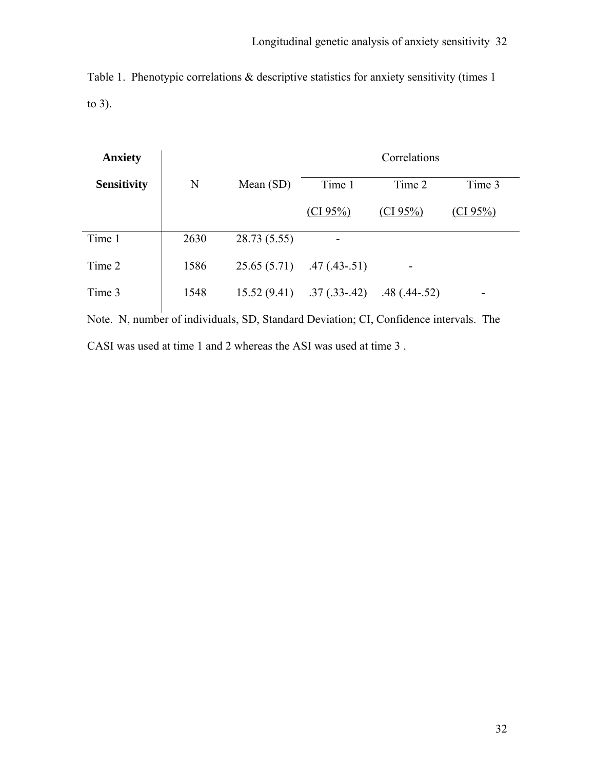Table 1. Phenotypic correlations & descriptive statistics for anxiety sensitivity (times 1 to 3).

| <b>Anxiety</b>     | Correlations |              |                |                |          |  |  |  |
|--------------------|--------------|--------------|----------------|----------------|----------|--|--|--|
| <b>Sensitivity</b> | N            | Mean $(SD)$  | Time 1         | Time 2         | Time 3   |  |  |  |
|                    |              |              | (CI 95%)       | (CI 95%)       | (CI 95%) |  |  |  |
| Time 1             | 2630         | 28.73 (5.55) |                |                |          |  |  |  |
| Time 2             | 1586         | 25.65(5.71)  | $.47(.43-.51)$ |                |          |  |  |  |
| Time 3             | 1548         | 15.52(9.41)  | $.37(.33-.42)$ | $.48(.44-.52)$ |          |  |  |  |

Note. N, number of individuals, SD, Standard Deviation; CI, Confidence intervals. The CASI was used at time 1 and 2 whereas the ASI was used at time 3 .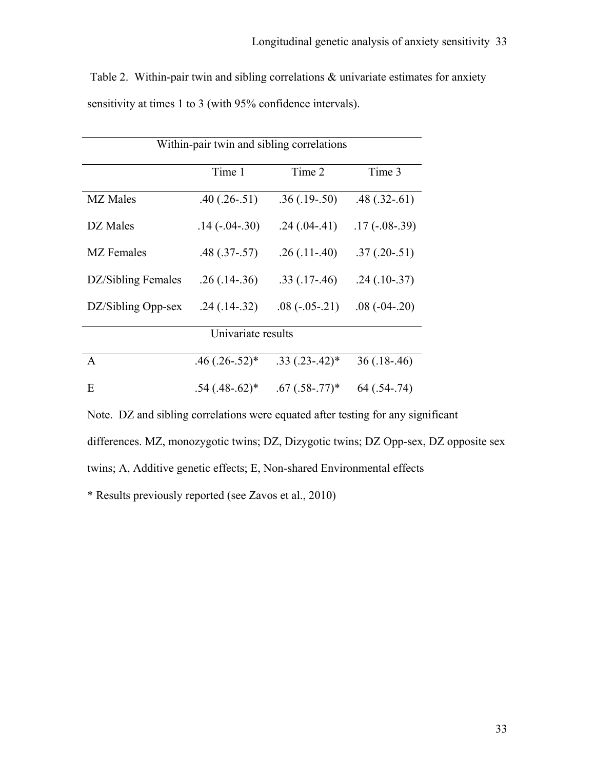Table 2. Within-pair twin and sibling correlations  $\&$  univariate estimates for anxiety sensitivity at times 1 to 3 (with 95% confidence intervals).

| Within-pair twin and sibling correlations |                                     |                                |                   |  |  |  |  |  |  |
|-------------------------------------------|-------------------------------------|--------------------------------|-------------------|--|--|--|--|--|--|
|                                           | Time 1                              | Time 2                         | Time 3            |  |  |  |  |  |  |
| <b>MZ</b> Males                           | $.40(.26-.51)$                      | $.36(.19-.50)$                 | $.48$ $(.32-.61)$ |  |  |  |  |  |  |
| DZ Males                                  | $.14(-0.04-0.30)$                   | $.24(.04-.41)$                 | $.17(-08-.39)$    |  |  |  |  |  |  |
| <b>MZ</b> Females                         | $.48(.37-.57)$                      | $.26(.11-.40)$                 | $.37(.20-.51)$    |  |  |  |  |  |  |
| DZ/Sibling Females                        | $.26(.14-.36)$                      | $.33$ $(.17-.46)$              |                   |  |  |  |  |  |  |
| DZ/Sibling Opp-sex                        | $.24(.14-.32)$<br>$.08(-0.05-0.21)$ |                                | $.08(-04-20)$     |  |  |  |  |  |  |
| Univariate results                        |                                     |                                |                   |  |  |  |  |  |  |
| $\mathsf{A}$                              | $.46(.26-.52)*$                     | $.33(.23-.42)^*$               | $36(.18-.46)$     |  |  |  |  |  |  |
| E                                         | $.54$ (.48-.62) <sup>*</sup>        | $.67$ $(.58-.77)$ <sup>*</sup> | $64(.54-.74)$     |  |  |  |  |  |  |

Note. DZ and sibling correlations were equated after testing for any significant

differences. MZ, monozygotic twins; DZ, Dizygotic twins; DZ Opp-sex, DZ opposite sex

twins; A, Additive genetic effects; E, Non-shared Environmental effects

\* Results previously reported (see Zavos et al., 2010)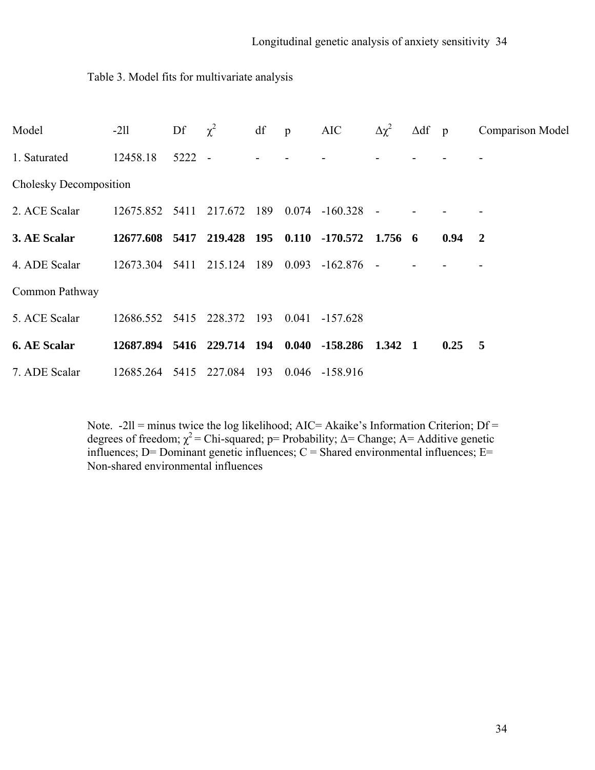## Table 3. Model fits for multivariate analysis

| Model                  | $-211$                                    | Df       | $\chi^2$ | df  | $\mathbf{p}$ | <b>AIC</b>        | $\Delta\chi^2$ | $\Delta df$ p |                | <b>Comparison Model</b> |
|------------------------|-------------------------------------------|----------|----------|-----|--------------|-------------------|----------------|---------------|----------------|-------------------------|
| 1. Saturated           | 12458.18                                  | $5222 -$ |          |     |              |                   |                |               |                |                         |
| Cholesky Decomposition |                                           |          |          |     |              |                   |                |               |                |                         |
| 2. ACE Scalar          | 12675.852 5411                            |          | 217.672  | 189 | 0.074        | $-160.328$        |                |               |                |                         |
| 3. AE Scalar           | 12677.608 5417 219.428 195 0.110 -170.572 |          |          |     |              |                   | 1.756 6        |               | $0.94$ 2       |                         |
| 4. ADE Scalar          | 12673.304                                 | 5411     | 215.124  | 189 | 0.093        | $-162.876$        |                |               |                |                         |
| Common Pathway         |                                           |          |          |     |              |                   |                |               |                |                         |
| 5. ACE Scalar          | 12686.552 5415 228.372 193                |          |          |     |              | $0.041 - 157.628$ |                |               |                |                         |
| <b>6. AE Scalar</b>    | 12687.894 5416 229.714 194 0.040          |          |          |     |              | $-158.286$        | 1.342 1        |               | $0.25 \quad 5$ |                         |
| 7. ADE Scalar          | 12685.264 5415                            |          | 227.084  | 193 | 0.046        | $-158.916$        |                |               |                |                         |

Note.  $-211$  = minus twice the log likelihood; AIC = Akaike's Information Criterion; Df = degrees of freedom;  $\chi^2$  = Chi-squared; p= Probability;  $\Delta$  = Change; A = Additive genetic influences;  $D =$  Dominant genetic influences;  $C =$  Shared environmental influences;  $E =$ Non-shared environmental influences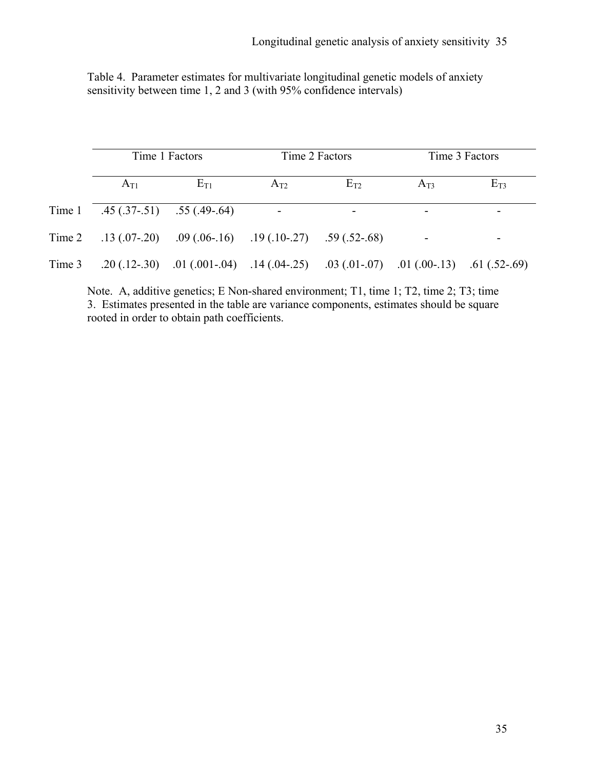|  |  | Table 4. Parameter estimates for multivariate longitudinal genetic models of anxiety |  |  |
|--|--|--------------------------------------------------------------------------------------|--|--|
|  |  | sensitivity between time 1, 2 and 3 (with 95% confidence intervals)                  |  |  |

|        | Time 1 Factors                         |                                                                                                                             |                | Time 2 Factors | Time 3 Factors |          |  |
|--------|----------------------------------------|-----------------------------------------------------------------------------------------------------------------------------|----------------|----------------|----------------|----------|--|
|        | $A_{T1}$                               | $E_{T1}$                                                                                                                    | $A_{T2}$       | $E_{T2}$       | $A_{T3}$       | $E_{T3}$ |  |
|        | Time 1 $.45(.37-0.51)$ $.55(.49-0.64)$ |                                                                                                                             | $\blacksquare$ |                |                |          |  |
|        |                                        | Time 2 .13 (.07-.20) .09 (.06-.16) .19 (.10-.27) .59 (.52-.68)                                                              |                |                |                |          |  |
| Time 3 |                                        | .20 $(0.12-0.30)$ $0.01$ $(0.001-0.04)$ $0.14$ $(0.04-0.25)$ $0.03$ $(0.01-0.07)$ $0.01$ $(0.00-0.13)$ $0.61$ $(0.52-0.69)$ |                |                |                |          |  |

Note. A, additive genetics; E Non-shared environment; T1, time 1; T2, time 2; T3; time 3. Estimates presented in the table are variance components, estimates should be square rooted in order to obtain path coefficients.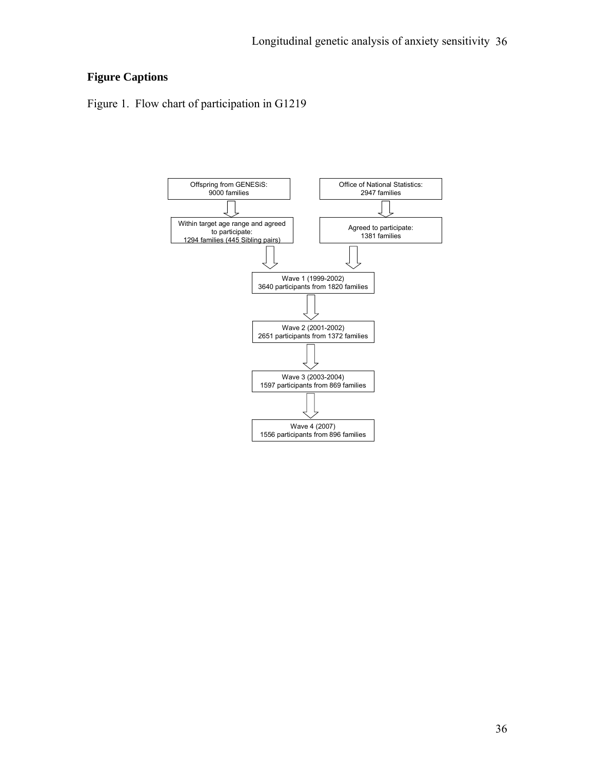# **Figure Captions**

Figure 1. Flow chart of participation in G1219